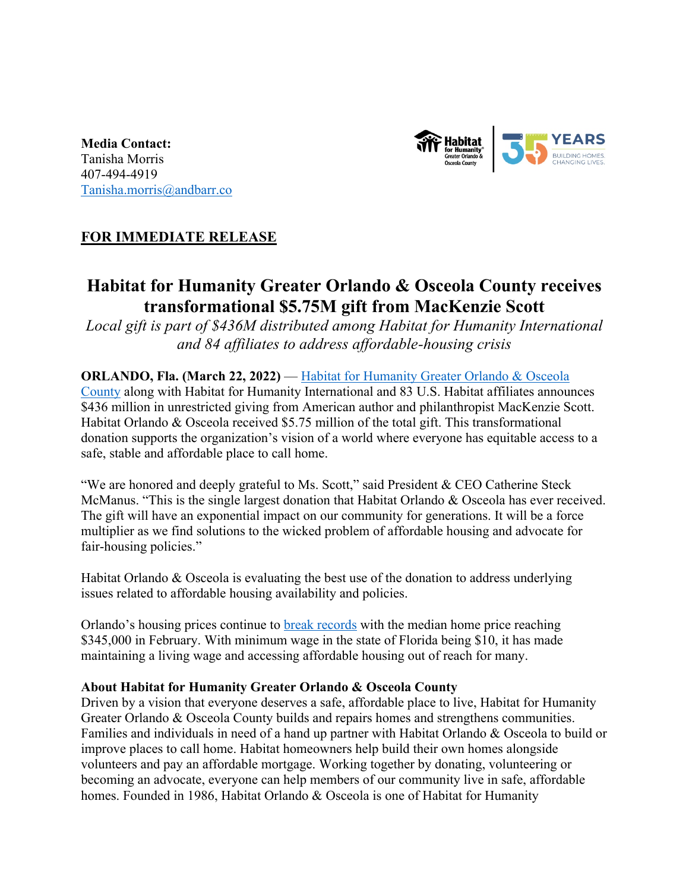

**Media Contact:** Tanisha Morris 407-494-4919 Tanisha.morris@andbarr.co

## **FOR IMMEDIATE RELEASE**

# **Habitat for Humanity Greater Orlando & Osceola County receives transformational \$5.75M gift from MacKenzie Scott**

*Local gift is part of \$436M distributed among Habitat for Humanity International and 84 affiliates to address affordable-housing crisis*

### **ORLANDO, Fla. (March 22, 2022)** — Habitat for Humanity Greater Orlando & Osceola

County along with Habitat for Humanity International and 83 U.S. Habitat affiliates announces \$436 million in unrestricted giving from American author and philanthropist MacKenzie Scott. Habitat Orlando & Osceola received \$5.75 million of the total gift. This transformational donation supports the organization's vision of a world where everyone has equitable access to a safe, stable and affordable place to call home.

"We are honored and deeply grateful to Ms. Scott," said President & CEO Catherine Steck McManus. "This is the single largest donation that Habitat Orlando & Osceola has ever received. The gift will have an exponential impact on our community for generations. It will be a force multiplier as we find solutions to the wicked problem of affordable housing and advocate for fair-housing policies."

Habitat Orlando & Osceola is evaluating the best use of the donation to address underlying issues related to affordable housing availability and policies.

Orlando's housing prices continue to **break records** with the median home price reaching \$345,000 in February. With minimum wage in the state of Florida being \$10, it has made maintaining a living wage and accessing affordable housing out of reach for many.

#### **About Habitat for Humanity Greater Orlando & Osceola County**

Driven by a vision that everyone deserves a safe, affordable place to live, Habitat for Humanity Greater Orlando & Osceola County builds and repairs homes and strengthens communities. Families and individuals in need of a hand up partner with Habitat Orlando & Osceola to build or improve places to call home. Habitat homeowners help build their own homes alongside volunteers and pay an affordable mortgage. Working together by donating, volunteering or becoming an advocate, everyone can help members of our community live in safe, affordable homes. Founded in 1986, Habitat Orlando & Osceola is one of Habitat for Humanity